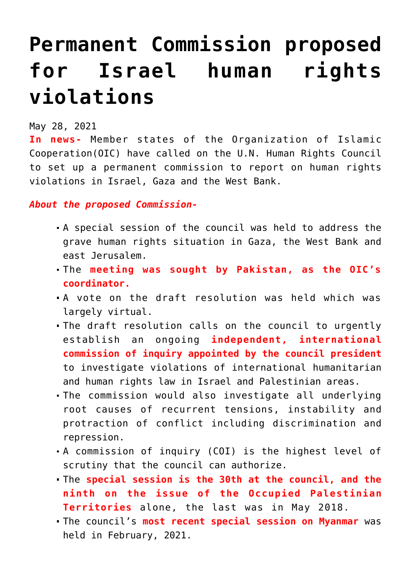## **[Permanent Commission proposed](https://journalsofindia.com/permanent-commission-proposed-for-israel-human-rights-violations/) [for Israel human rights](https://journalsofindia.com/permanent-commission-proposed-for-israel-human-rights-violations/) [violations](https://journalsofindia.com/permanent-commission-proposed-for-israel-human-rights-violations/)**

May 28, 2021

**In news-** Member states of the Organization of Islamic Cooperation(OIC) have called on the U.N. Human Rights Council to set up a permanent commission to report on human rights violations in Israel, Gaza and the West Bank.

*About the proposed Commission-*

- A special session of the council was held to address the grave human rights situation in Gaza, the West Bank and east Jerusalem.
- The **meeting was sought by Pakistan, as the OIC's coordinator.**
- A vote on the draft resolution was held which was largely virtual.
- The draft resolution calls on the council to urgently establish an ongoing **independent, international commission of inquiry appointed by the council president** to investigate violations of international humanitarian and human rights law in Israel and Palestinian areas.
- The commission would also investigate all underlying root causes of recurrent tensions, instability and protraction of conflict including discrimination and repression.
- A commission of inquiry (COI) is the highest level of scrutiny that the council can authorize.
- The **special session is the 30th at the council, and the ninth on the issue of the Occupied Palestinian Territories** alone, the last was in May 2018.
- The council's **most recent special session on Myanmar** was held in February, 2021.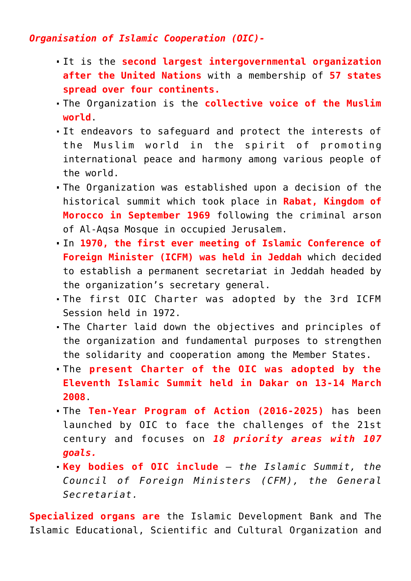## *Organisation of Islamic Cooperation (OIC)-*

- It is the **second largest intergovernmental organization after the United Nations** with a membership of **57 states spread over four continents.**
- The Organization is the **collective voice of the Muslim world**.
- It endeavors to safeguard and protect the interests of the Muslim world in the spirit of promoting international peace and harmony among various people of the world.
- The Organization was established upon a decision of the historical summit which took place in **Rabat, Kingdom of Morocco in September 1969** following the criminal arson of Al-Aqsa Mosque in occupied Jerusalem.
- In **1970, the first ever meeting of Islamic Conference of Foreign Minister (ICFM) was held in Jeddah** which decided to establish a permanent secretariat in Jeddah headed by the organization's secretary general.
- The first OIC Charter was adopted by the 3rd ICFM Session held in 1972.
- The Charter laid down the objectives and principles of the organization and fundamental purposes to strengthen the solidarity and cooperation among the Member States.
- The **present Charter of the OIC was adopted by the Eleventh Islamic Summit held in Dakar on 13-14 March 2008**.
- The **Ten-Year Program of Action (2016-2025)** has been launched by OIC to face the challenges of the 21st century and focuses on *18 priority areas with 107 goals.*
- **Key bodies of OIC include** *the Islamic Summit, the Council of Foreign Ministers (CFM), the General Secretariat.*

**Specialized organs are** the Islamic Development Bank and The Islamic Educational, Scientific and Cultural Organization and